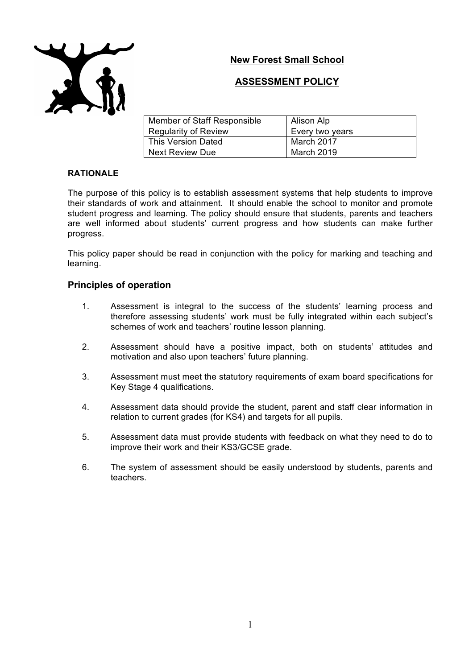**New Forest Small School** 



## **ASSESSMENT POLICY**

| Member of Staff Responsible | Alison Alp        |
|-----------------------------|-------------------|
| <b>Regularity of Review</b> | Every two years   |
| <b>This Version Dated</b>   | March 2017        |
| <b>Next Review Due</b>      | <b>March 2019</b> |

### **RATIONALE**

The purpose of this policy is to establish assessment systems that help students to improve their standards of work and attainment. It should enable the school to monitor and promote student progress and learning. The policy should ensure that students, parents and teachers are well informed about students' current progress and how students can make further progress.

This policy paper should be read in conjunction with the policy for marking and teaching and learning.

#### **Principles of operation**

- 1. Assessment is integral to the success of the students' learning process and therefore assessing students' work must be fully integrated within each subject's schemes of work and teachers' routine lesson planning.
- 2. Assessment should have a positive impact, both on students' attitudes and motivation and also upon teachers' future planning.
- 3. Assessment must meet the statutory requirements of exam board specifications for Key Stage 4 qualifications.
- 4. Assessment data should provide the student, parent and staff clear information in relation to current grades (for KS4) and targets for all pupils.
- 5. Assessment data must provide students with feedback on what they need to do to improve their work and their KS3/GCSE grade.
- 6. The system of assessment should be easily understood by students, parents and teachers.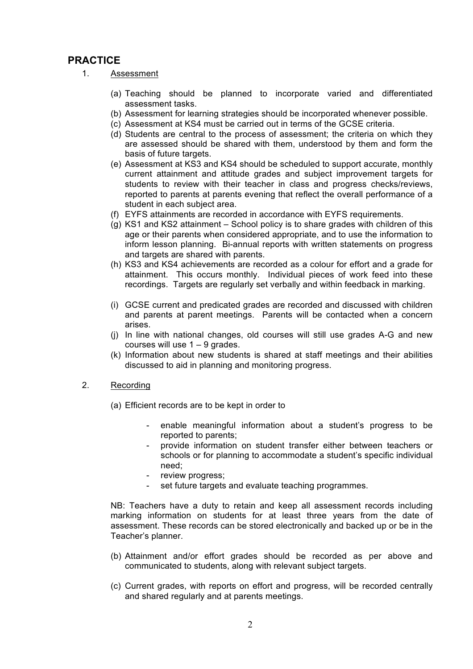# **PRACTICE**

- 1. Assessment
	- (a) Teaching should be planned to incorporate varied and differentiated assessment tasks.
	- (b) Assessment for learning strategies should be incorporated whenever possible.
	- (c) Assessment at KS4 must be carried out in terms of the GCSE criteria.
	- (d) Students are central to the process of assessment; the criteria on which they are assessed should be shared with them, understood by them and form the basis of future targets.
	- (e) Assessment at KS3 and KS4 should be scheduled to support accurate, monthly current attainment and attitude grades and subject improvement targets for students to review with their teacher in class and progress checks/reviews, reported to parents at parents evening that reflect the overall performance of a student in each subject area.
	- (f) EYFS attainments are recorded in accordance with EYFS requirements.
	- (g) KS1 and KS2 attainment School policy is to share grades with children of this age or their parents when considered appropriate, and to use the information to inform lesson planning. Bi-annual reports with written statements on progress and targets are shared with parents.
	- (h) KS3 and KS4 achievements are recorded as a colour for effort and a grade for attainment. This occurs monthly. Individual pieces of work feed into these recordings. Targets are regularly set verbally and within feedback in marking.
	- (i) GCSE current and predicated grades are recorded and discussed with children and parents at parent meetings. Parents will be contacted when a concern arises.
	- (j) In line with national changes, old courses will still use grades A-G and new courses will use 1 – 9 grades.
	- (k) Information about new students is shared at staff meetings and their abilities discussed to aid in planning and monitoring progress.
- 2. Recording
	- (a) Efficient records are to be kept in order to
		- enable meaningful information about a student's progress to be reported to parents;
		- provide information on student transfer either between teachers or schools or for planning to accommodate a student's specific individual need;
		- review progress;
		- set future targets and evaluate teaching programmes.

NB: Teachers have a duty to retain and keep all assessment records including marking information on students for at least three years from the date of assessment. These records can be stored electronically and backed up or be in the Teacher's planner.

- (b) Attainment and/or effort grades should be recorded as per above and communicated to students, along with relevant subject targets.
- (c) Current grades, with reports on effort and progress, will be recorded centrally and shared regularly and at parents meetings.